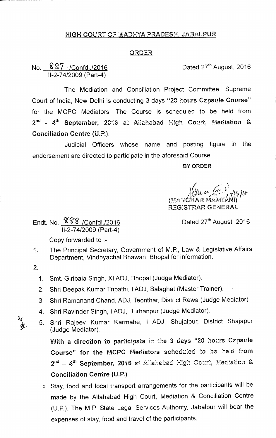## HIGH COURT OF MADHYA PRADESH, JABALPUR

## <u>ORDER</u>

## No.  $887$  /Confdl./2016 **Dated 27<sup>th</sup> August, 2016** 11-2-74/2009 (Part-4)

The Mediation and Conciliation Project Committee, Supreme Court of India, New Delhi is conducting 3 days "20 hours Capsule Course" for the MCPC Mediators. The Course is scheduled to be held from 2<sup>nd</sup> - 4<sup>th</sup> September, 2016 at Allahabad High Court, Mediation & Conciliation Centre (U.?.).

Judicial Officers whose name and posting figure in the endorsement are directed to participate in the aforesaid Course.

**BY ORDER** 

*771§itb*  ANOHAR MAMTANI) REGISTRAR GENERAL

Endt. No.  $888$  /Confdl./2016 Dated 27<sup>th</sup> August, 2016 11-2-74/2009 (Part-4)

Copy forwarded to :-

- The Principal Secretary, Government of M.P., Law & Legislative Affairs  $\mathcal{L}_{\mathcal{L}_{\mathcal{L}}}$ Department, Vindhyachal Bhawan, Bhopal for information.
- 2.
	- 1. Smt. Giribala Singh, XI ADJ, Bhopal (Judge Mediator).
	- 2. Shri Deepak Kumar Tripathi, I ADJ, Balaghat (Master Trainer).
	- 3. Shri Ramanand Chand, ADJ, Teonthar, District Rewa (Judge Mediator).
	- 4. Shri Ravinder Singh, I ADJ, Burhanpur (Judge Mediator).
	- 5. Shri Rajeev Kumar Karmahe, I ADJ, Shujalpur, District Shajapur (Judge Mediator).

With a direction to participate in the 3 days "20 hours Capsule Course" for the MCPC Mediators scheduled to be held from 2<sup>nd</sup> - 4<sup>th</sup> September, 2016 at Allahabad High Court, Mediation & Conciliation Centre (U.P.).

0 Stay, food and local transport arrangements for the participants will be made by the Allahabad High Court, Mediation & Conciliation Centre (U.P.). The M.P. State Legal Services Authority, Jabalpur will bear the expenses of stay, food and travel of the participants.